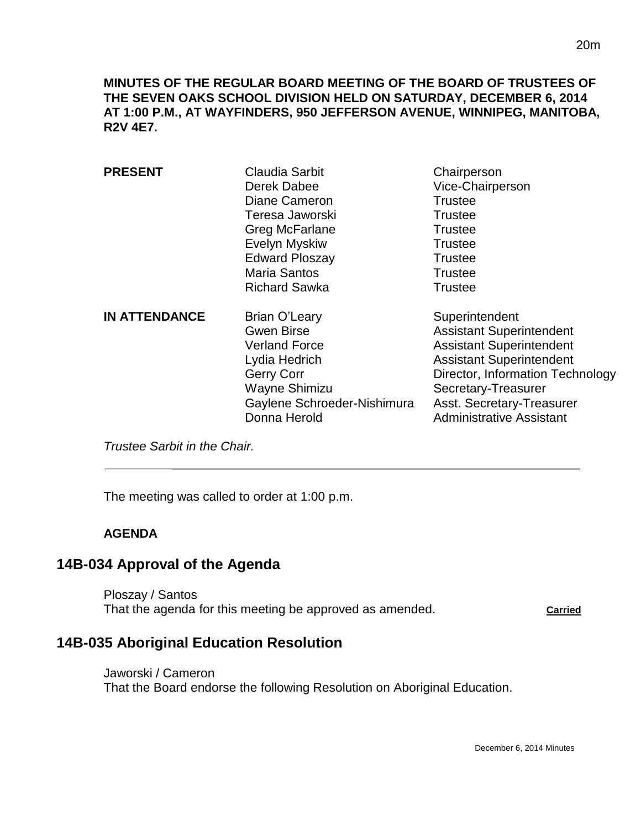**MINUTES OF THE REGULAR BOARD MEETING OF THE BOARD OF TRUSTEES OF THE SEVEN OAKS SCHOOL DIVISION HELD ON SATURDAY, DECEMBER 6, 2014 AT 1:00 P.M., AT WAYFINDERS, 950 JEFFERSON AVENUE, WINNIPEG, MANITOBA, R2V 4E7.**

| <b>PRESENT</b>       | Claudia Sarbit<br>Derek Dabee<br>Diane Cameron<br>Teresa Jaworski<br>Greg McFarlane<br>Evelyn Myskiw<br><b>Edward Ploszay</b><br><b>Maria Santos</b><br><b>Richard Sawka</b> | Chairperson<br>Vice-Chairperson<br>Trustee<br>Trustee<br>Trustee<br>Trustee<br><b>Trustee</b><br>Trustee<br><b>Trustee</b>                                                                                                                         |
|----------------------|------------------------------------------------------------------------------------------------------------------------------------------------------------------------------|----------------------------------------------------------------------------------------------------------------------------------------------------------------------------------------------------------------------------------------------------|
| <b>IN ATTENDANCE</b> | <b>Brian O'Leary</b><br><b>Gwen Birse</b><br><b>Verland Force</b><br>Lydia Hedrich<br><b>Gerry Corr</b><br>Wayne Shimizu<br>Gaylene Schroeder-Nishimura<br>Donna Herold      | Superintendent<br><b>Assistant Superintendent</b><br><b>Assistant Superintendent</b><br><b>Assistant Superintendent</b><br>Director, Information Technology<br>Secretary-Treasurer<br>Asst. Secretary-Treasurer<br><b>Administrative Assistant</b> |

*Trustee Sarbit in the Chair.* 

The meeting was called to order at 1:00 p.m.

### **AGENDA**

 $\overline{a}$ 

### **14B-034 Approval of the Agenda**

Ploszay / Santos That the agenda for this meeting be approved as amended. **Carried** 

# **14B-035 Aboriginal Education Resolution**

Jaworski / Cameron That the Board endorse the following Resolution on Aboriginal Education.